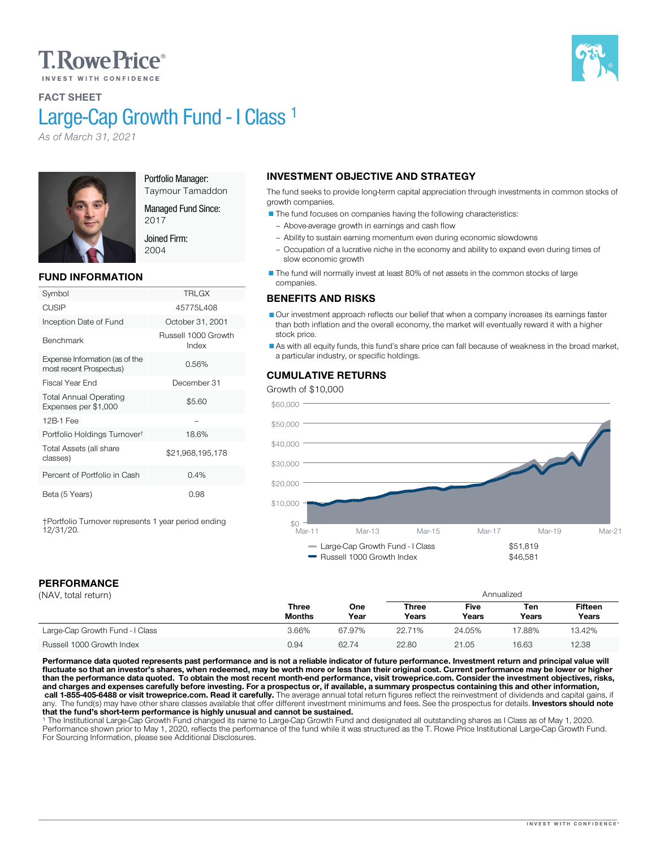# **T.RowePrice**®



FACT SHEET

# Large-Cap Growth Fund - I Class<sup>1</sup>

*As of March 31, 2021*



Portfolio Manager: Taymour Tamaddon

Managed Fund Since:

2017 Joined Firm: 2004

# FUND INFORMATION

| Symbol                                                    | <b>TRLGX</b>                 |
|-----------------------------------------------------------|------------------------------|
| CUSIP                                                     | 45775L408                    |
| Inception Date of Fund                                    | October 31, 2001             |
| Benchmark                                                 | Russell 1000 Growth<br>Index |
| Expense Information (as of the<br>most recent Prospectus) | 0.56%                        |
| Fiscal Year End                                           | December 31                  |
| <b>Total Annual Operating</b><br>Expenses per \$1,000     | \$5.60                       |
| 12B-1 Fee                                                 |                              |
| Portfolio Holdings Turnover <sup>t</sup>                  | 18.6%                        |
| Total Assets (all share<br>classes)                       | \$21,968,195,178             |
| Percent of Portfolio in Cash                              | 0.4%                         |
| Beta (5 Years)                                            | 0.98                         |

†Portfolio Turnover represents 1 year period ending 12/31/20.

# INVESTMENT OBJECTIVE AND STRATEGY

The fund seeks to provide long-term capital appreciation through investments in common stocks of growth companies.

- The fund focuses on companies having the following characteristics:
- Above-average growth in earnings and cash flow
- Ability to sustain earning momentum even during economic slowdowns
- Occupation of a lucrative niche in the economy and ability to expand even during times of slow economic growth

The fund will normally invest at least 80% of net assets in the common stocks of large companies.

## BENEFITS AND RISKS

Our investment approach reflects our belief that when a company increases its earnings faster than both inflation and the overall economy, the market will eventually reward it with a higher stock price.

As with all equity funds, this fund's share price can fall because of weakness in the broad market, a particular industry, or specific holdings.

## CUMULATIVE RETURNS

Growth of \$10,000



# PERFORMANCE

| . . |  | ---------------     |  |
|-----|--|---------------------|--|
|     |  | (NAV. total return) |  |

| (NAV, total return)             |                        |             | Annualized            |                      |                     |                         |  |  |  |
|---------------------------------|------------------------|-------------|-----------------------|----------------------|---------------------|-------------------------|--|--|--|
|                                 | Three<br><b>Months</b> | One<br>Year | <b>Three</b><br>Years | <b>Five</b><br>Years | Ten<br><b>Years</b> | <b>Fifteen</b><br>Years |  |  |  |
| Large-Cap Growth Fund - I Class | 3.66%                  | 67.97%      | 22.71%                | 24.05%               | 17.88%              | 13.42%                  |  |  |  |
| Russell 1000 Growth Index       | 0.94                   | 62.74       | 22.80                 | 21.05                | 16.63               | 12.38                   |  |  |  |

Performance data quoted represents past performance and is not a reliable indicator of future performance. Investment return and principal value will fluctuate so that an investor's shares, when redeemed, may be worth more or less than their original cost. Current performance may be lower or higher<br>than the performance data quoted. To obtain the most recent month-end pe and charges and expenses carefully before investing. For a prospectus or, if available, a summary prospectus containing this and other information,<br>call 1-855-405-6488 or visit troweprice.com. Read it carefully. The averag

<sup>1</sup> The Institutional Large-Cap Growth Fund changed its name to Large-Cap Growth Fund and designated all outstanding shares as I Class as of May 1, 2020.<br>Performance shown prior to May 1, 2020, reflects the performance of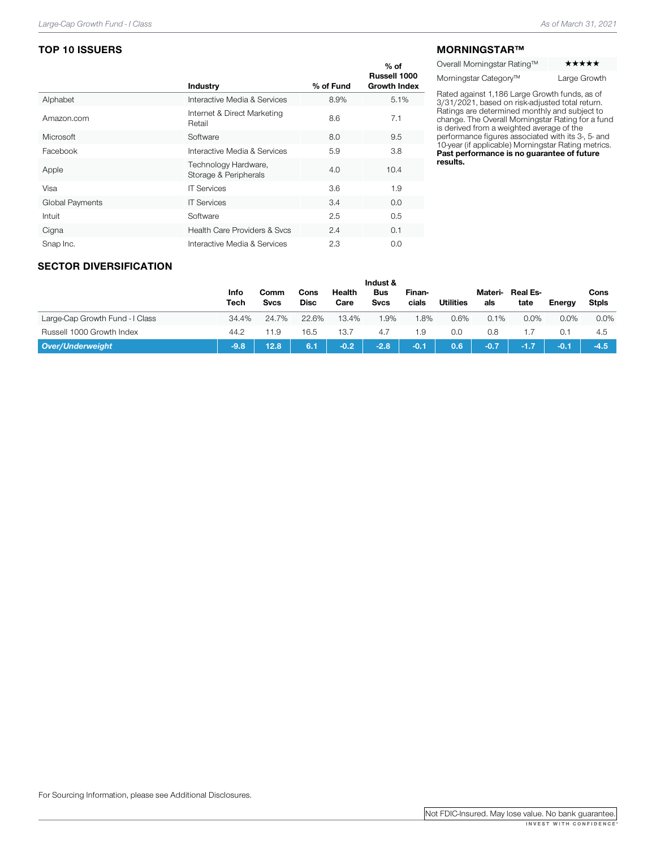# TOP 10 ISSUERS

|                 | Industry                                      | % of Fund | $%$ of<br>Russell 1000<br><b>Growth Index</b> |
|-----------------|-----------------------------------------------|-----------|-----------------------------------------------|
| Alphabet        | Interactive Media & Services                  | 8.9%      | 5.1%                                          |
| Amazon.com      | Internet & Direct Marketing<br>Retail         | 8.6       | 7.1                                           |
| Microsoft       | Software                                      | 8.0       | 9.5                                           |
| Facebook        | Interactive Media & Services                  | 5.9       | 3.8                                           |
| Apple           | Technology Hardware,<br>Storage & Peripherals | 4.0       | 10.4                                          |
| Visa            | <b>IT Services</b>                            | 3.6       | 1.9                                           |
| Global Payments | <b>IT Services</b>                            | 3.4       | 0.0                                           |
| Intuit          | Software                                      | 2.5       | 0.5                                           |
| Cigna           | <b>Health Care Providers &amp; Svcs</b>       | 2.4       | 0.1                                           |
| Snap Inc.       | Interactive Media & Services                  | 2.3       | 0.0                                           |

#### MORNINGSTAR™

Overall Morningstar Rating™

Morningstar Category™ Large Growth

Rated against 1,186 Large Growth funds, as of 3/31/2021, based on risk-adjusted total return.<br>Ratings are determined monthly and subject to<br>change. The Overall Morningstar Rating for a fund<br>is derived from a weighted avera Past performance is no guarantee of future results.

## SECTOR DIVERSIFICATION

|                                 |              |              |              |                | Indust &                  |                 |                  |                |                  |         |                      |
|---------------------------------|--------------|--------------|--------------|----------------|---------------------------|-----------------|------------------|----------------|------------------|---------|----------------------|
|                                 | Info<br>Tech | Comm<br>Svcs | Cons<br>Disc | Health<br>Care | <b>Bus</b><br><b>Svcs</b> | Finan-<br>cials | <b>Utilities</b> | Materi-<br>als | Real Es-<br>tate | Enerav  | Cons<br><b>Stpls</b> |
| Large-Cap Growth Fund - I Class | 34.4%        | 24.7%        | 22.6%        | 13.4%          | 1.9%                      | .8%             | 0.6%             | $0.1\%$        | $0.0\%$          | $0.0\%$ | 0.0%                 |
| Russell 1000 Growth Index       | 44.2         | 11.9         | 16.5         | 13.7           | 4.7                       | 1.9             | 0.0              | 0.8            |                  | 0.1     | 4.5                  |
| <b>Over/Underweight</b>         | $-9.8$       | 12.8         | 6.1          | $-0.2$         | $-2.8$                    | $-0.1$          | 0.6              | $-0.7$         |                  | $-0.1$  | $-4.5$               |